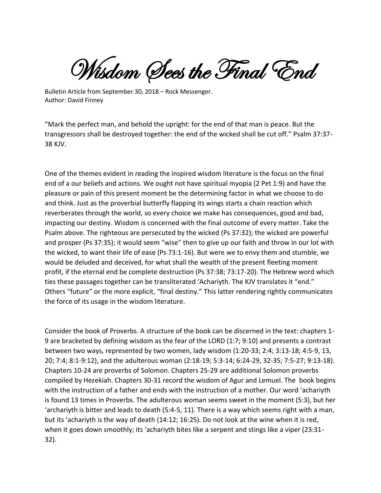Wisdom (Sees the Final End

Bulletin Article from September 30, 2018 – Rock Messenger. Author: David Finney

"Mark the perfect man, and behold the upright: for the end of that man is peace. But the transgressors shall be destroyed together: the end of the wicked shall be cut off." Psalm 37:37- 38 KJV.

One of the themes evident in reading the inspired wisdom literature is the focus on the final end of a our beliefs and actions. We ought not have spiritual myopia (2 Pet 1:9) and have the pleasure or pain of this present moment be the determining factor in what we choose to do and think. Just as the proverbial butterfly flapping its wings starts a chain reaction which reverberates through the world, so every choice we make has consequences, good and bad, impacting our destiny. Wisdom is concerned with the final outcome of every matter. Take the Psalm above. The righteous are persecuted by the wicked (Ps 37:32); the wicked are powerful and prosper (Ps 37:35); it would seem "wise" then to give up our faith and throw in our lot with the wicked, to want their life of ease (Ps 73:1-16). But were we to envy them and stumble, we would be deluded and deceived, for what shall the wealth of the present fleeting moment profit, if the eternal end be complete destruction (Ps 37:38; 73:17-20). The Hebrew word which ties these passages together can be transliterated 'Achariyth. The KJV translates it "end." Others "future" or the more explicit, "final destiny." This latter rendering rightly communicates the force of its usage in the wisdom literature.

Consider the book of Proverbs. A structure of the book can be discerned in the text: chapters 1- 9 are bracketed by defining wisdom as the fear of the LORD (1:7; 9:10) and presents a contrast between two ways, represented by two women, lady wisdom (1:20-33; 2:4; 3:13-18; 4:5-9, 13, 20; 7:4; 8:1-9:12), and the adulterous woman (2:18-19; 5:3-14; 6:24-29, 32-35; 7:5-27; 9:13-18). Chapters 10-24 are proverbs of Solomon. Chapters 25-29 are additional Solomon proverbs compiled by Hezekiah. Chapters 30-31 record the wisdom of Agur and Lemuel. The book begins with the instruction of a father and ends with the instruction of a mother. Our word 'achariyth is found 13 times in Proverbs. The adulterous woman seems sweet in the moment (5:3), but her 'archariyth is bitter and leads to death (5:4-5, 11). There is a way which seems right with a man, but its 'achariyth is the way of death (14:12; 16:25). Do not look at the wine when it is red, when it goes down smoothly; its 'achariyth bites like a serpent and stings like a viper (23:31- 32).